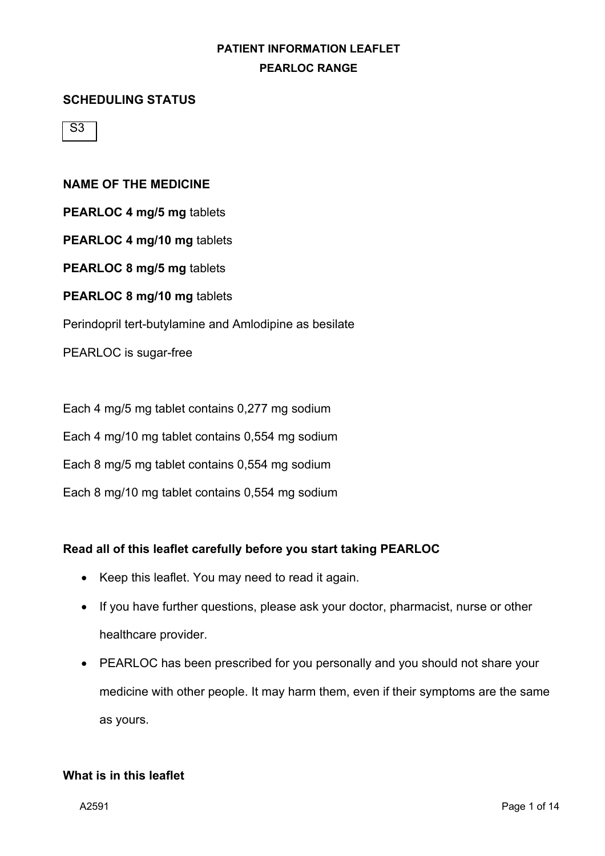#### **SCHEDULING STATUS**

 $\overline{\mathsf{S}3}$ 

#### **NAME OF THE MEDICINE**

**PEARLOC 4 mg/5 mg** tablets

**PEARLOC 4 mg/10 mg** tablets

**PEARLOC 8 mg/5 mg** tablets

**PEARLOC 8 mg/10 mg** tablets

Perindopril tert-butylamine and Amlodipine as besilate

PEARLOC is sugar-free

Each 4 mg/5 mg tablet contains 0,277 mg sodium

Each 4 mg/10 mg tablet contains 0,554 mg sodium

Each 8 mg/5 mg tablet contains 0,554 mg sodium

Each 8 mg/10 mg tablet contains 0,554 mg sodium

#### **Read all of this leaflet carefully before you start taking PEARLOC**

- Keep this leaflet. You may need to read it again.
- If you have further questions, please ask your doctor, pharmacist, nurse or other healthcare provider.
- PEARLOC has been prescribed for you personally and you should not share your medicine with other people. It may harm them, even if their symptoms are the same as yours.

#### **What is in this leaflet**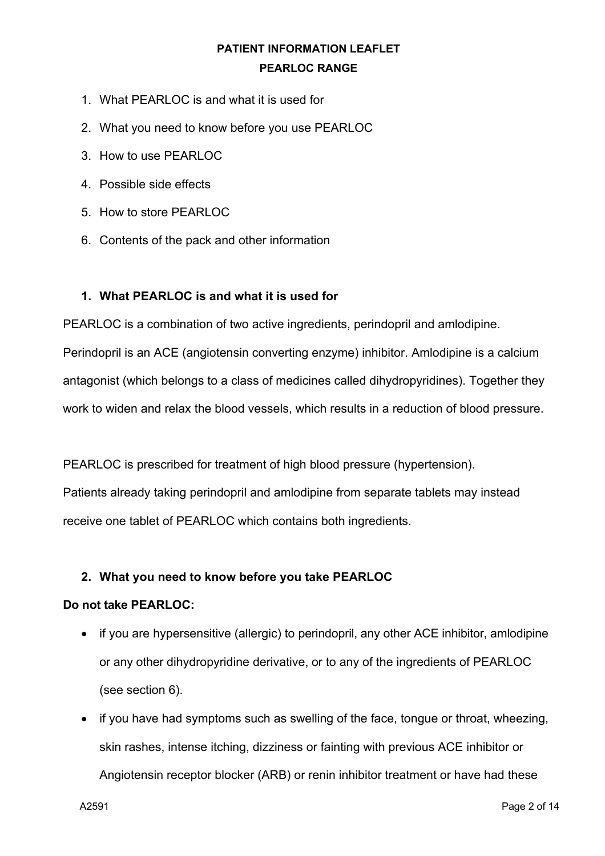- 1. What PEARLOC is and what it is used for
- 2. What you need to know before you use PEARLOC
- 3. How to use PEARLOC
- 4. Possible side effects
- 5. How to store PEARLOC
- 6. Contents of the pack and other information

#### **1. What PEARLOC is and what it is used for**

PEARLOC is a combination of two active ingredients, perindopril and amlodipine.

Perindopril is an ACE (angiotensin converting enzyme) inhibitor. Amlodipine is a calcium antagonist (which belongs to a class of medicines called dihydropyridines). Together they work to widen and relax the blood vessels, which results in a reduction of blood pressure.

PEARLOC is prescribed for treatment of high blood pressure (hypertension). Patients already taking perindopril and amlodipine from separate tablets may instead receive one tablet of PEARLOC which contains both ingredients.

#### **2. What you need to know before you take PEARLOC**

#### **Do not take PEARLOC:**

- if you are hypersensitive (allergic) to perindopril, any other ACE inhibitor, amlodipine or any other dihydropyridine derivative, or to any of the ingredients of PEARLOC (see section 6).
- if you have had symptoms such as swelling of the face, tongue or throat, wheezing, skin rashes, intense itching, dizziness or fainting with previous ACE inhibitor or Angiotensin receptor blocker (ARB) or renin inhibitor treatment or have had these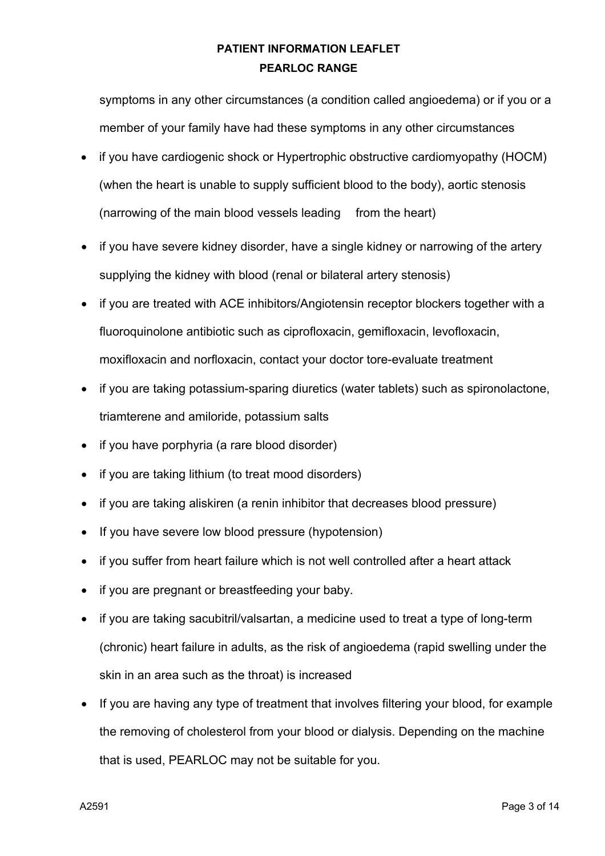symptoms in any other circumstances (a condition called angioedema) or if you or a member of your family have had these symptoms in any other circumstances

- if you have cardiogenic shock or Hypertrophic obstructive cardiomyopathy (HOCM) (when the heart is unable to supply sufficient blood to the body), aortic stenosis (narrowing of the main blood vessels leading from the heart)
- if you have severe kidney disorder, have a single kidney or narrowing of the artery supplying the kidney with blood (renal or bilateral artery stenosis)
- if you are treated with ACE inhibitors/Angiotensin receptor blockers together with a fluoroquinolone antibiotic such as ciprofloxacin, gemifloxacin, levofloxacin, moxifloxacin and norfloxacin, contact your doctor tore-evaluate treatment
- if you are taking potassium-sparing diuretics (water tablets) such as spironolactone, triamterene and amiloride, potassium salts
- if you have porphyria (a rare blood disorder)
- if you are taking lithium (to treat mood disorders)
- if you are taking aliskiren (a renin inhibitor that decreases blood pressure)
- If you have severe low blood pressure (hypotension)
- if you suffer from heart failure which is not well controlled after a heart attack
- if you are pregnant or breastfeeding your baby.
- if you are taking sacubitril/valsartan, a medicine used to treat a type of long-term (chronic) heart failure in adults, as the risk of angioedema (rapid swelling under the skin in an area such as the throat) is increased
- If you are having any type of treatment that involves filtering your blood, for example the removing of cholesterol from your blood or dialysis. Depending on the machine that is used, PEARLOC may not be suitable for you.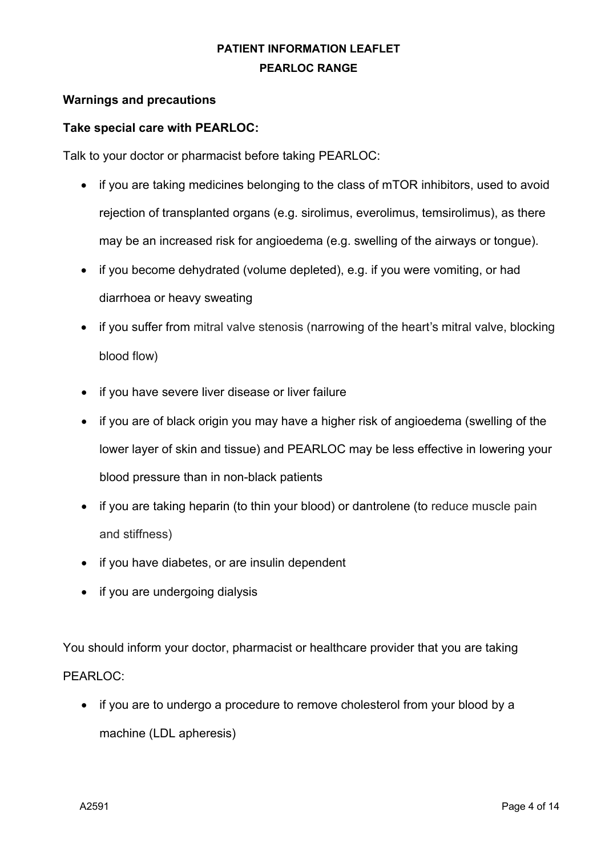#### **Warnings and precautions**

#### **Take special care with PEARLOC:**

Talk to your doctor or pharmacist before taking PEARLOC:

- if you are taking medicines belonging to the class of mTOR inhibitors, used to avoid rejection of transplanted organs (e.g. sirolimus, everolimus, temsirolimus), as there may be an increased risk for angioedema (e.g. swelling of the airways or tongue).
- if you become dehydrated (volume depleted), e.g. if you were vomiting, or had diarrhoea or heavy sweating
- if you suffer from mitral valve stenosis (narrowing of the heart's mitral valve, blocking blood flow)
- if you have severe liver disease or liver failure
- if you are of black origin you may have a higher risk of angioedema (swelling of the lower layer of skin and tissue) and PEARLOC may be less effective in lowering your blood pressure than in non-black patients
- if you are taking heparin (to thin your blood) or dantrolene (to reduce muscle pain and stiffness)
- if you have diabetes, or are insulin dependent
- if you are undergoing dialysis

You should inform your doctor, pharmacist or healthcare provider that you are taking PEARLOC:

• if you are to undergo a procedure to remove cholesterol from your blood by a machine (LDL apheresis)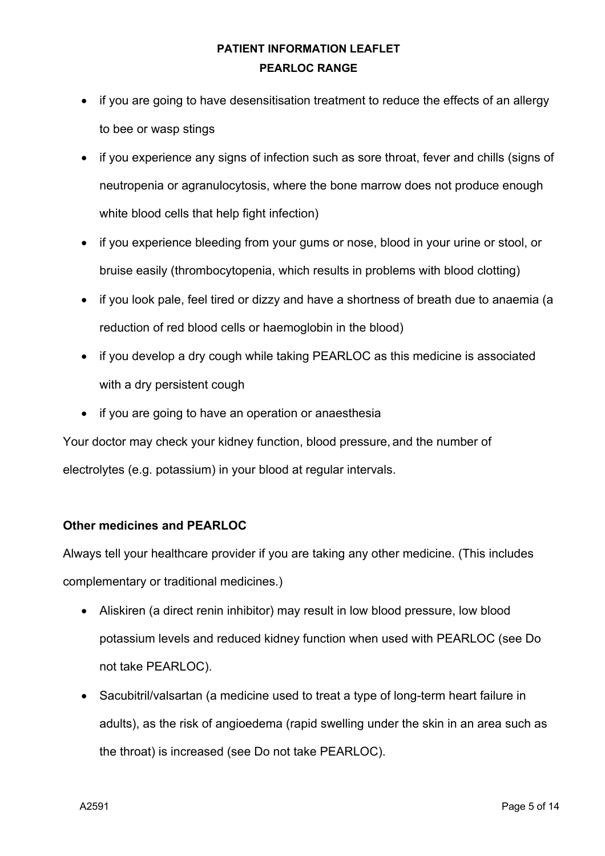- if you are going to have desensitisation treatment to reduce the effects of an allergy to bee or wasp stings
- if you experience any signs of infection such as sore throat, fever and chills (signs of neutropenia or agranulocytosis, where the bone marrow does not produce enough white blood cells that help fight infection)
- if you experience bleeding from your gums or nose, blood in your urine or stool, or bruise easily (thrombocytopenia, which results in problems with blood clotting)
- if you look pale, feel tired or dizzy and have a shortness of breath due to anaemia (a reduction of red blood cells or haemoglobin in the blood)
- if you develop a dry cough while taking PEARLOC as this medicine is associated with a dry persistent cough
- if you are going to have an operation or anaesthesia

Your doctor may check your kidney function, blood pressure, and the number of electrolytes (e.g. potassium) in your blood at regular intervals.

### **Other medicines and PEARLOC**

Always tell your healthcare provider if you are taking any other medicine. (This includes complementary or traditional medicines.)

- Aliskiren (a direct renin inhibitor) may result in low blood pressure, low blood potassium levels and reduced kidney function when used with PEARLOC (see Do not take PEARLOC).
- Sacubitril/valsartan (a medicine used to treat a type of long-term heart failure in adults), as the risk of angioedema (rapid swelling under the skin in an area such as the throat) is increased (see Do not take PEARLOC).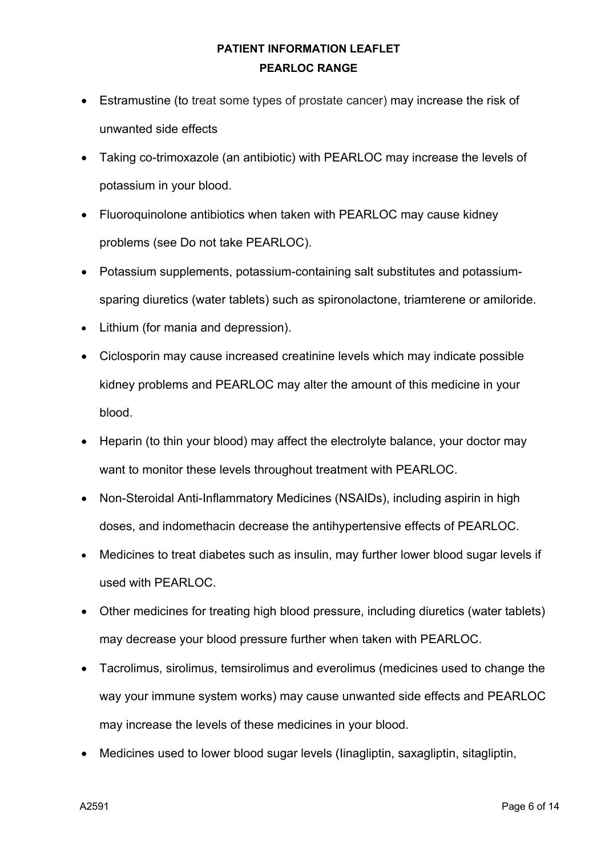- Estramustine (to treat some types of prostate cancer) may increase the risk of unwanted side effects
- Taking co-trimoxazole (an antibiotic) with PEARLOC may increase the levels of potassium in your blood.
- Fluoroquinolone antibiotics when taken with PEARLOC may cause kidney problems (see Do not take PEARLOC).
- Potassium supplements, potassium-containing salt substitutes and potassiumsparing diuretics (water tablets) such as spironolactone, triamterene or amiloride.
- Lithium (for mania and depression).
- Ciclosporin may cause increased creatinine levels which may indicate possible kidney problems and PEARLOC may alter the amount of this medicine in your blood.
- Heparin (to thin your blood) may affect the electrolyte balance, your doctor may want to monitor these levels throughout treatment with PEARLOC.
- Non-Steroidal Anti-Inflammatory Medicines (NSAIDs), including aspirin in high doses, and indomethacin decrease the antihypertensive effects of PEARLOC.
- Medicines to treat diabetes such as insulin, may further lower blood sugar levels if used with PEARLOC.
- Other medicines for treating high blood pressure, including diuretics (water tablets) may decrease your blood pressure further when taken with PEARLOC.
- Tacrolimus, sirolimus, temsirolimus and everolimus (medicines used to change the way your immune system works) may cause unwanted side effects and PEARLOC may increase the levels of these medicines in your blood.
- Medicines used to lower blood sugar levels (Iinagliptin, saxagliptin, sitagliptin,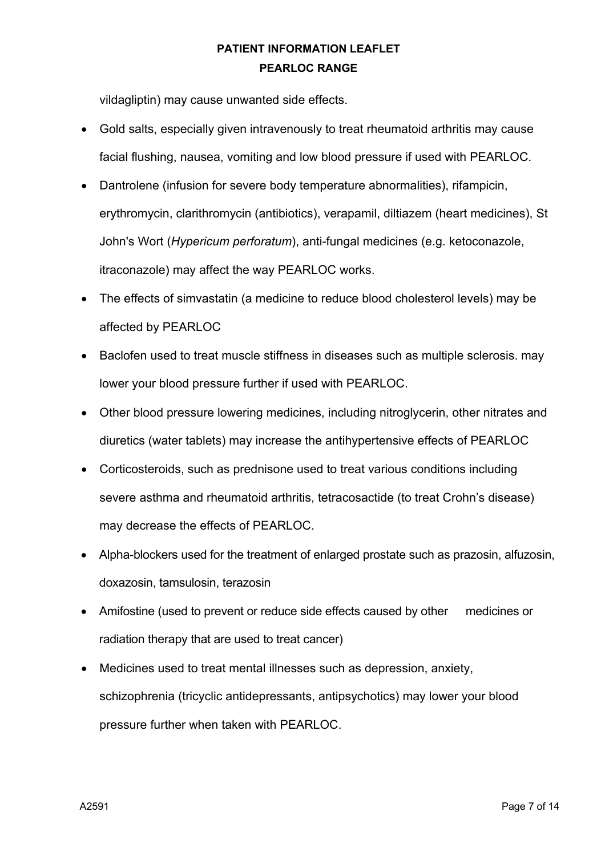vildagliptin) may cause unwanted side effects.

- Gold salts, especially given intravenously to treat rheumatoid arthritis may cause facial flushing, nausea, vomiting and low blood pressure if used with PEARLOC.
- Dantrolene (infusion for severe body temperature abnormalities), rifampicin, erythromycin, clarithromycin (antibiotics), verapamil, diltiazem (heart medicines), St John's Wort (*Hypericum perforatum*), anti-fungal medicines (e.g. ketoconazole, itraconazole) may affect the way PEARLOC works.
- The effects of simvastatin (a medicine to reduce blood cholesterol levels) may be affected by PEARLOC
- Baclofen used to treat muscle stiffness in diseases such as multiple sclerosis. may lower your blood pressure further if used with PEARLOC.
- Other blood pressure lowering medicines, including nitroglycerin, other nitrates and diuretics (water tablets) may increase the antihypertensive effects of PEARLOC
- Corticosteroids, such as prednisone used to treat various conditions including severe asthma and rheumatoid arthritis, tetracosactide (to treat Crohn's disease) may decrease the effects of PEARLOC.
- Alpha-blockers used for the treatment of enlarged prostate such as prazosin, alfuzosin, doxazosin, tamsulosin, terazosin
- Amifostine (used to prevent or reduce side effects caused by other medicines or radiation therapy that are used to treat cancer)
- Medicines used to treat mental illnesses such as depression, anxiety, schizophrenia (tricyclic antidepressants, antipsychotics) may lower your blood pressure further when taken with PEARLOC.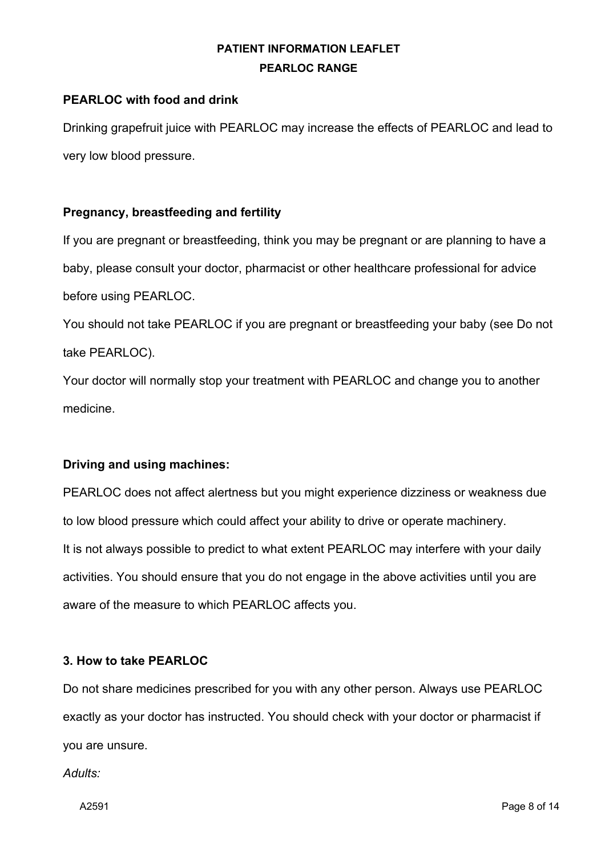### **PEARLOC with food and drink**

Drinking grapefruit juice with PEARLOC may increase the effects of PEARLOC and lead to very low blood pressure.

#### **Pregnancy, breastfeeding and fertility**

If you are pregnant or breastfeeding, think you may be pregnant or are planning to have a baby, please consult your doctor, pharmacist or other healthcare professional for advice before using PEARLOC.

You should not take PEARLOC if you are pregnant or breastfeeding your baby (see Do not take PEARLOC).

Your doctor will normally stop your treatment with PEARLOC and change you to another medicine.

### **Driving and using machines:**

PEARLOC does not affect alertness but you might experience dizziness or weakness due to low blood pressure which could affect your ability to drive or operate machinery. It is not always possible to predict to what extent PEARLOC may interfere with your daily activities. You should ensure that you do not engage in the above activities until you are aware of the measure to which PEARLOC affects you.

#### **3. How to take PEARLOC**

Do not share medicines prescribed for you with any other person. Always use PEARLOC exactly as your doctor has instructed. You should check with your doctor or pharmacist if you are unsure.

*Adults:*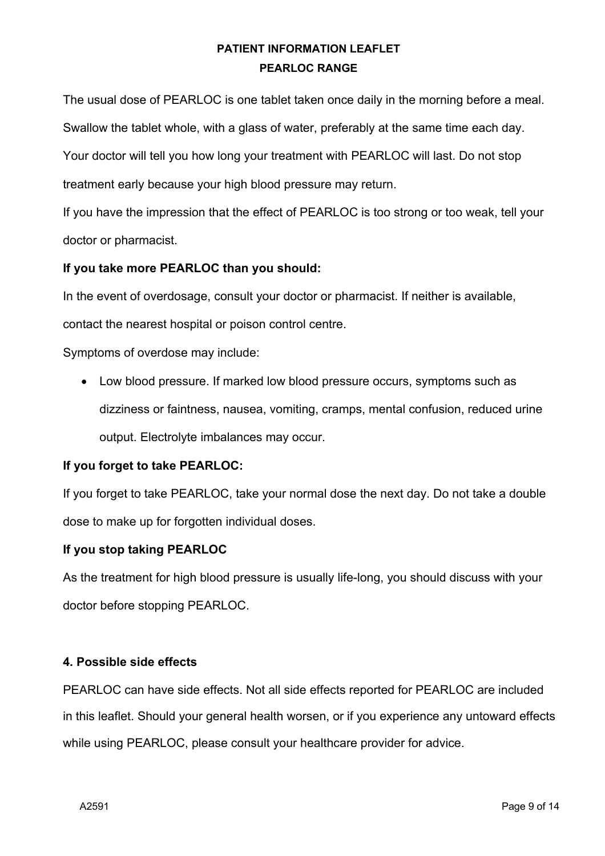The usual dose of PEARLOC is one tablet taken once daily in the morning before a meal. Swallow the tablet whole, with a glass of water, preferably at the same time each day. Your doctor will tell you how long your treatment with PEARLOC will last. Do not stop treatment early because your high blood pressure may return.

If you have the impression that the effect of PEARLOC is too strong or too weak, tell your doctor or pharmacist.

#### **If you take more PEARLOC than you should:**

In the event of overdosage, consult your doctor or pharmacist. If neither is available,

contact the nearest hospital or poison control centre.

Symptoms of overdose may include:

• Low blood pressure. If marked low blood pressure occurs, symptoms such as dizziness or faintness, nausea, vomiting, cramps, mental confusion, reduced urine output. Electrolyte imbalances may occur.

### **If you forget to take PEARLOC:**

If you forget to take PEARLOC, take your normal dose the next day. Do not take a double dose to make up for forgotten individual doses.

### **If you stop taking PEARLOC**

As the treatment for high blood pressure is usually life-long, you should discuss with your doctor before stopping PEARLOC.

### **4. Possible side effects**

PEARLOC can have side effects. Not all side effects reported for PEARLOC are included in this leaflet. Should your general health worsen, or if you experience any untoward effects while using PEARLOC, please consult your healthcare provider for advice.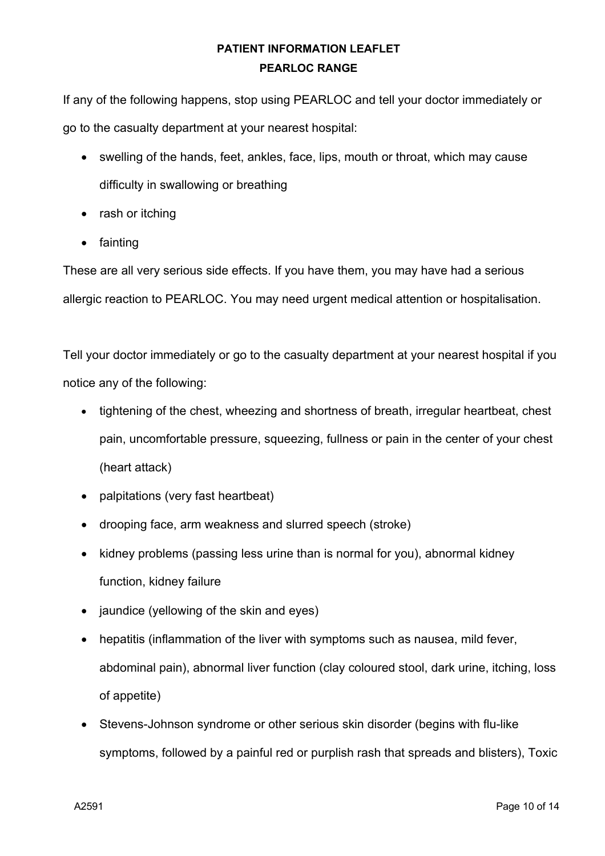If any of the following happens, stop using PEARLOC and tell your doctor immediately or go to the casualty department at your nearest hospital:

- swelling of the hands, feet, ankles, face, lips, mouth or throat, which may cause difficulty in swallowing or breathing
- rash or itching
- fainting

These are all very serious side effects. If you have them, you may have had a serious allergic reaction to PEARLOC. You may need urgent medical attention or hospitalisation.

Tell your doctor immediately or go to the casualty department at your nearest hospital if you notice any of the following:

- tightening of the chest, wheezing and shortness of breath, irregular heartbeat, chest pain, uncomfortable pressure, squeezing, fullness or pain in the center of your chest (heart attack)
- palpitations (very fast heartbeat)
- drooping face, arm weakness and slurred speech (stroke)
- kidney problems (passing less urine than is normal for you), abnormal kidney function, kidney failure
- jaundice (yellowing of the skin and eyes)
- hepatitis (inflammation of the liver with symptoms such as nausea, mild fever, abdominal pain), abnormal liver function (clay coloured stool, dark urine, itching, loss of appetite)
- Stevens-Johnson syndrome or other serious skin disorder (begins with flu-like symptoms, followed by a painful red or purplish rash that spreads and blisters), Toxic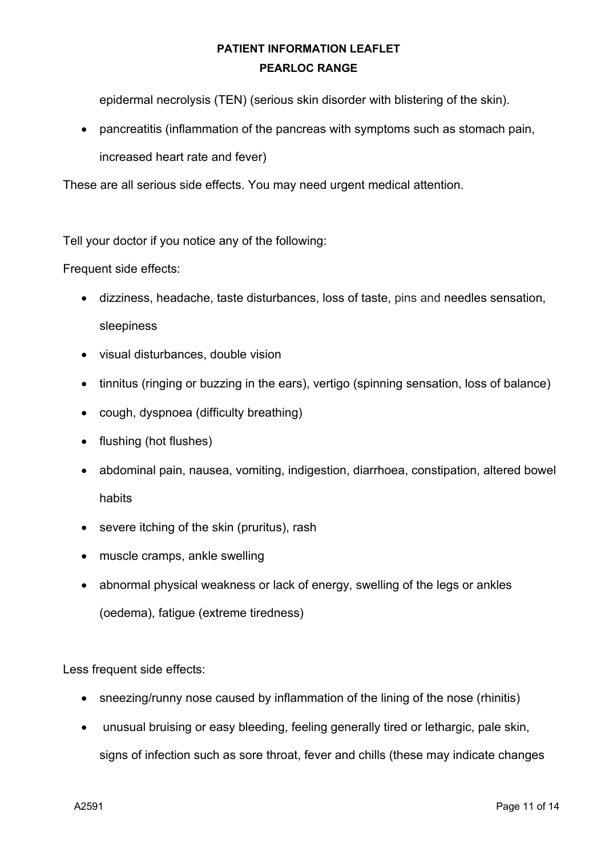epidermal necrolysis (TEN) (serious skin disorder with blistering of the skin).

• pancreatitis (inflammation of the pancreas with symptoms such as stomach pain, increased heart rate and fever)

These are all serious side effects. You may need urgent medical attention.

Tell your doctor if you notice any of the following:

Frequent side effects:

- dizziness, headache, taste disturbances, loss of taste, pins and needles sensation, sleepiness
- visual disturbances, double vision
- tinnitus (ringing or buzzing in the ears), vertigo (spinning sensation, loss of balance)
- cough, dyspnoea (difficulty breathing)
- flushing (hot flushes)
- abdominal pain, nausea, vomiting, indigestion, diarrhoea, constipation, altered bowel habits
- severe itching of the skin (pruritus), rash
- muscle cramps, ankle swelling
- abnormal physical weakness or lack of energy, swelling of the legs or ankles (oedema), fatigue (extreme tiredness)

Less frequent side effects:

- sneezing/runny nose caused by inflammation of the lining of the nose (rhinitis)
- unusual bruising or easy bleeding, feeling generally tired or lethargic, pale skin, signs of infection such as sore throat, fever and chills (these may indicate changes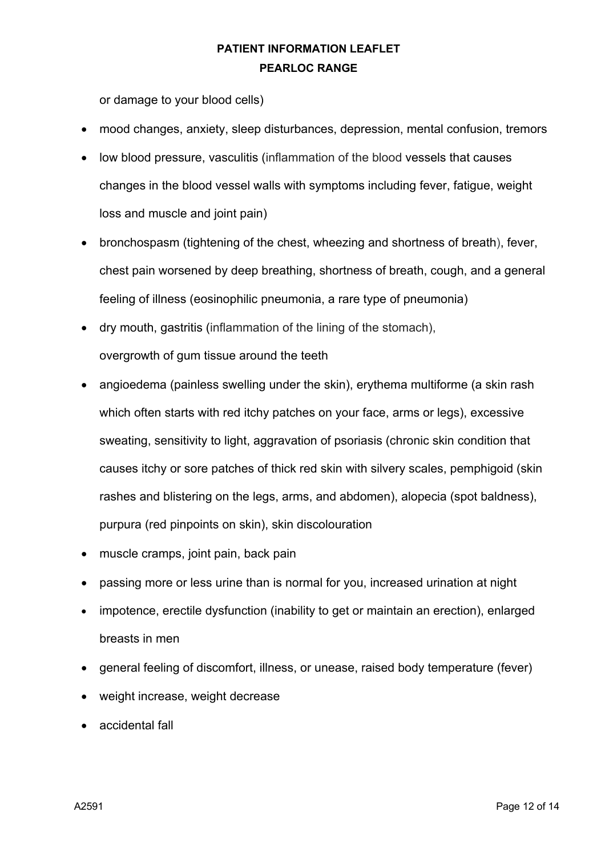or damage to your blood cells)

- mood changes, anxiety, sleep disturbances, depression, mental confusion, tremors
- low blood pressure, vasculitis (inflammation of the blood vessels that causes changes in the blood vessel walls with symptoms including fever, fatigue, weight loss and muscle and joint pain)
- bronchospasm (tightening of the chest, wheezing and shortness of breath), fever, chest pain worsened by deep breathing, shortness of breath, cough, and a general feeling of illness (eosinophilic pneumonia, a rare type of pneumonia)
- dry mouth, gastritis (inflammation of the lining of the stomach), overgrowth of gum tissue around the teeth
- angioedema (painless swelling under the skin), erythema multiforme (a skin rash which often starts with red itchy patches on your face, arms or legs), excessive sweating, sensitivity to light, aggravation of psoriasis (chronic skin condition that causes itchy or sore patches of thick red skin with silvery scales, pemphigoid (skin rashes and blistering on the legs, arms, and abdomen), alopecia (spot baldness), purpura (red pinpoints on skin), skin discolouration
- muscle cramps, joint pain, back pain
- passing more or less urine than is normal for you, increased urination at night
- impotence, erectile dysfunction (inability to get or maintain an erection), enlarged breasts in men
- general feeling of discomfort, illness, or unease, raised body temperature (fever)
- weight increase, weight decrease
- accidental fall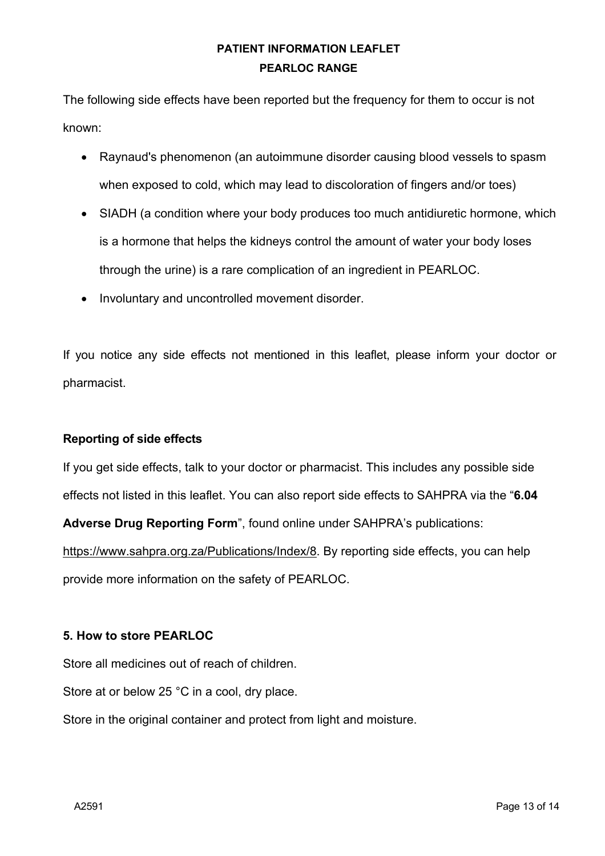The following side effects have been reported but the frequency for them to occur is not known:

- Raynaud's phenomenon (an autoimmune disorder causing blood vessels to spasm when exposed to cold, which may lead to discoloration of fingers and/or toes)
- SIADH (a condition where your body produces too much antidiuretic hormone, which is a hormone that helps the kidneys control the amount of water your body loses through the urine) is a rare complication of an ingredient in PEARLOC.
- Involuntary and uncontrolled movement disorder.

If you notice any side effects not mentioned in this leaflet, please inform your doctor or pharmacist.

### **Reporting of side effects**

If you get side effects, talk to your doctor or pharmacist. This includes any possible side effects not listed in this leaflet. You can also report side effects to SAHPRA via the "**6.04** 

**Adverse Drug Reporting Form**", found online under SAHPRA's publications:

https://www.sahpra.org.za/Publications/Index/8. By reporting side effects, you can help provide more information on the safety of PEARLOC.

### **5. How to store PEARLOC**

Store all medicines out of reach of children.

Store at or below 25 °C in a cool, dry place.

Store in the original container and protect from light and moisture.